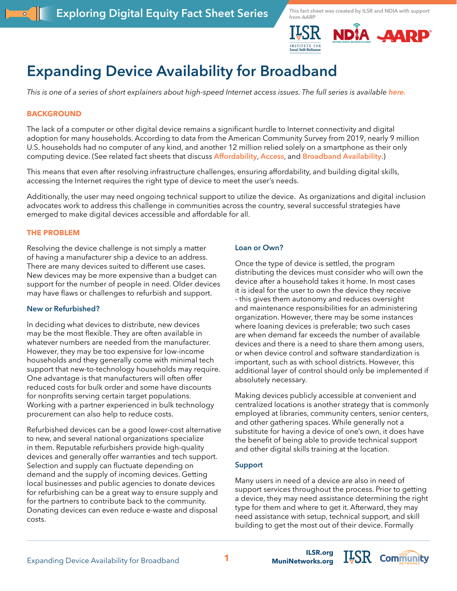



# **Expanding Device Availability for Broadband**

*This is one of a series of short explainers about high-speed Internet access issues. The full series is available [here.](https://ilsr.org/exploring-digital-equity-fact-sheets)*

# **BACKGROUND**

The lack of a computer or other digital device remains a significant hurdle to Internet connectivity and digital adoption for many households. According to data from the American Community Survey from 2019, nearly 9 million U.S. households had no computer of any kind, and another 12 million relied solely on a smartphone as their only computing device. (See related fact sheets that discuss **[Affordability](https://ilsr.org/exploring-digital-equity-fact-sheets)**, **[Access](https://ilsr.org/exploring-digital-equity-fact-sheets)**, and **[Broadband Availability](https://ilsr.org/exploring-digital-equity-fact-sheets)**.)

This means that even after resolving infrastructure challenges, ensuring affordability, and building digital skills, accessing the Internet requires the right type of device to meet the user's needs.

Additionally, the user may need ongoing technical support to utilize the device. As organizations and digital inclusion advocates work to address this challenge in communities across the country, several successful strategies have emerged to make digital devices accessible and affordable for all.

### **THE PROBLEM**

Resolving the device challenge is not simply a matter of having a manufacturer ship a device to an address. There are many devices suited to different use cases. New devices may be more expensive than a budget can support for the number of people in need. Older devices may have flaws or challenges to refurbish and support.

### **New or Refurbished?**

In deciding what devices to distribute, new devices may be the most flexible. They are often available in whatever numbers are needed from the manufacturer. However, they may be too expensive for low-income households and they generally come with minimal tech support that new-to-technology households may require. One advantage is that manufacturers will often offer reduced costs for bulk order and some have discounts for nonprofits serving certain target populations. Working with a partner experienced in bulk technology procurement can also help to reduce costs.

Refurbished devices can be a good lower-cost alternative to new, and several national organizations specialize in them. Reputable refurbishers provide high-quality devices and generally offer warranties and tech support. Selection and supply can fluctuate depending on demand and the supply of incoming devices. Getting local businesses and public agencies to donate devices for refurbishing can be a great way to ensure supply and for the partners to contribute back to the community. Donating devices can even reduce e-waste and disposal costs.

### **Loan or Own?**

Once the type of device is settled, the program distributing the devices must consider who will own the device after a household takes it home. In most cases it is ideal for the user to own the device they receive - this gives them autonomy and reduces oversight and maintenance responsibilities for an administering organization. However, there may be some instances where loaning devices is preferable; two such cases are when demand far exceeds the number of available devices and there is a need to share them among users, or when device control and software standardization is important, such as with school districts. However, this additional layer of control should only be implemented if absolutely necessary.

Making devices publicly accessible at convenient and centralized locations is another strategy that is commonly employed at libraries, community centers, senior centers, and other gathering spaces. While generally not a substitute for having a device of one's own, it does have the benefit of being able to provide technical support and other digital skills training at the location.

## **Support**

Many users in need of a device are also in need of support services throughout the process. Prior to getting a device, they may need assistance determining the right type for them and where to get it. Afterward, they may need assistance with setup, technical support, and skill building to get the most out of their device. Formally

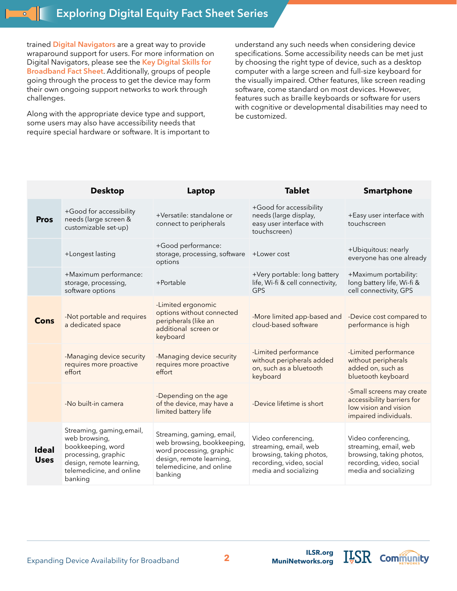trained **[Digital Navigators](https://www.digitalinclusion.org/digital-navigator-model/)** are a great way to provide wraparound support for users. For more information on Digital Navigators, please see the **[Key Digital Skills for](https://ilsr.org/exploring-digital-equity-fact-sheets)  [Broadband Fact Sheet](https://ilsr.org/exploring-digital-equity-fact-sheets)**. Additionally, groups of people going through the process to get the device may form their own ongoing support networks to work through challenges.

Along with the appropriate device type and support, some users may also have accessibility needs that require special hardware or software. It is important to understand any such needs when considering device specifications. Some accessibility needs can be met just by choosing the right type of device, such as a desktop computer with a large screen and full-size keyboard for the visually impaired. Other features, like screen reading software, come standard on most devices. However, features such as braille keyboards or software for users with cognitive or developmental disabilities may need to be customized.

|                             | <b>Desktop</b>                                                                                                                                            | Laptop                                                                                                                                                 | <b>Tablet</b>                                                                                                                 | <b>Smartphone</b>                                                                                                             |
|-----------------------------|-----------------------------------------------------------------------------------------------------------------------------------------------------------|--------------------------------------------------------------------------------------------------------------------------------------------------------|-------------------------------------------------------------------------------------------------------------------------------|-------------------------------------------------------------------------------------------------------------------------------|
| <b>Pros</b>                 | +Good for accessibility<br>needs (large screen &<br>customizable set-up)                                                                                  | +Versatile: standalone or<br>connect to peripherals                                                                                                    | +Good for accessibility<br>needs (large display,<br>easy user interface with<br>touchscreen)                                  | +Easy user interface with<br>touchscreen                                                                                      |
|                             | +Longest lasting                                                                                                                                          | +Good performance:<br>storage, processing, software<br>options                                                                                         | +Lower cost                                                                                                                   | +Ubiquitous: nearly<br>everyone has one already                                                                               |
|                             | +Maximum performance:<br>storage, processing,<br>software options                                                                                         | +Portable                                                                                                                                              | +Very portable: long battery<br>life, Wi-fi & cell connectivity,<br><b>GPS</b>                                                | +Maximum portability:<br>long battery life, Wi-fi &<br>cell connectivity, GPS                                                 |
| <b>Cons</b>                 | -Not portable and requires<br>a dedicated space                                                                                                           | -Limited ergonomic<br>options without connected<br>peripherals (like an<br>additional screen or<br>keyboard                                            | -More limited app-based and<br>cloud-based software                                                                           | -Device cost compared to<br>performance is high                                                                               |
|                             | -Managing device security<br>requires more proactive<br>effort                                                                                            | -Managing device security<br>requires more proactive<br>effort                                                                                         | -Limited performance<br>without peripherals added<br>on, such as a bluetooth<br>keyboard                                      | -Limited performance<br>without peripherals<br>added on, such as<br>bluetooth keyboard                                        |
|                             | -No built-in camera                                                                                                                                       | -Depending on the age<br>of the device, may have a<br>limited battery life                                                                             | -Device lifetime is short                                                                                                     | -Small screens may create<br>accessibility barriers for<br>low vision and vision<br>impaired individuals.                     |
| <b>Ideal</b><br><b>Uses</b> | Streaming, gaming, email,<br>web browsing,<br>bookkeeping, word<br>processing, graphic<br>design, remote learning,<br>telemedicine, and online<br>banking | Streaming, gaming, email,<br>web browsing, bookkeeping,<br>word processing, graphic<br>design, remote learning,<br>telemedicine, and online<br>banking | Video conferencing,<br>streaming, email, web<br>browsing, taking photos,<br>recording, video, social<br>media and socializing | Video conferencing,<br>streaming, email, web<br>browsing, taking photos,<br>recording, video, social<br>media and socializing |

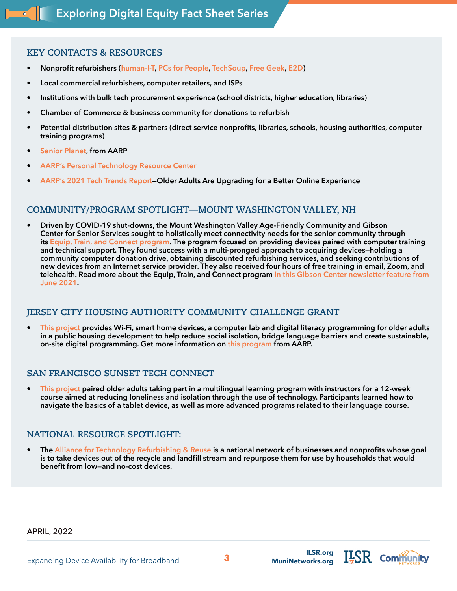# **KEY CONTACTS & RESOURCES**

- **• Nonprofit refurbishers ([human-I-T](https://www.human-i-t.org/), [PCs for People,](https://www.pcsforpeople.org/) [TechSoup](https://www.techsoup.org/), [Free Geek](https://www.freegeek.org/), [E2D](https://www.e-2-d.org/))**
- **• Local commercial refurbishers, computer retailers, and ISPs**
- **• Institutions with bulk tech procurement experience (school districts, higher education, libraries)**
- **• Chamber of Commerce & business community for donations to refurbish**
- **• Potential distribution sites & partners (direct service nonprofits, libraries, schools, housing authorities, computer training programs)**
- **• [Senior Planet](https://seniorplanet.org/), from AARP**
- **• [AARP's Personal Technology Resource Center](https://www.aarp.org/home-family/personal-technology/)**
- **• [AARP's 2021 Tech Trends Report](https://www.aarp.org/research/topics/technology/info-2022/2022-technology-trends-older-americans.html?cmp=RDRCT-00971e38-20210910)—Older Adults Are Upgrading for a Better Online Experience**

# **COMMUNITY/PROGRAM SPOTLIGHT—MOUNT WASHINGTON VALLEY, NH**

**• Driven by COVID-19 shut-downs, the Mount Washington Valley Age-Friendly Community and Gibson Center for Senior Services sought to holistically meet connectivity needs for the senior community through its [Equip, Train, and Connect program](https://www.aarp.org/livable-communities/network-age-friendly-communities/info-2022/train-equip-connect-mount-washington-valley-nh.html ). The program focused on providing devices paired with computer training and technical support. They found success with a multi-pronged approach to acquiring devices—holding a community computer donation drive, obtaining discounted refurbishing services, and seeking contributions of new devices from an Internet service provider. They also received four hours of free training in email, Zoom, and telehealth. Read more about the Equip, Train, and Connect program [in this Gibson Center newsletter feature from](https://www.gibsoncenter.org/wp-content/uploads/2021/05/06-2021-web-1.pdf)  [June 2021](https://www.gibsoncenter.org/wp-content/uploads/2021/05/06-2021-web-1.pdf).**

# **JERSEY CITY HOUSING AUTHORITY COMMUNITY CHALLENGE GRANT**

**• [This project](https://livablemap.aarp.org/challenge-grantee/jersey-city-housing-authority) provides Wi-Fi, smart home devices, a computer lab and digital literacy programming for older adults in a public housing development to help reduce social isolation, bridge language barriers and create sustainable, on-site digital programming. Get more information on [this program](https://livablemap.aarp.org/challenge-grantee/jersey-city-housing-authority) from AARP.**

# **SAN FRANCISCO SUNSET TECH CONNECT**

**• [This project](https://www.communitytechnetwork.org/blog/connecting-seniors-in-the-sunset/) paired older adults taking part in a multilingual learning program with instructors for a 12-week course aimed at reducing loneliness and isolation through the use of technology. Participants learned how to navigate the basics of a tablet device, as well as more advanced programs related to their language course.**

# **NATIONAL RESOURCE SPOTLIGHT:**

**• The [Alliance for Technology Refurbishing & Reuse](https://www.aftrr.org/) is a national network of businesses and nonprofits whose goal is to take devices out of the recycle and landfill stream and repurpose them for use by households that would benefit from low—and no-cost devices.**